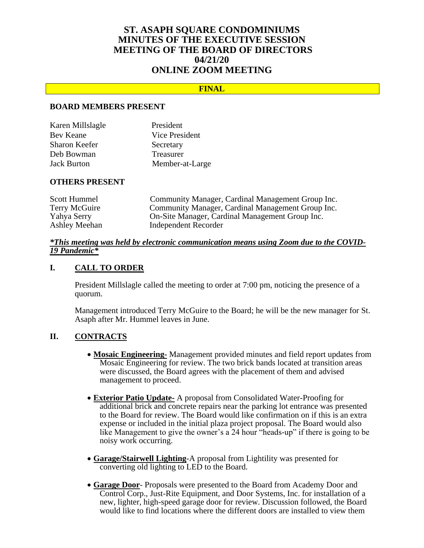# **ST. ASAPH SQUARE CONDOMINIUMS MINUTES OF THE EXECUTIVE SESSION MEETING OF THE BOARD OF DIRECTORS 04/21/20 ONLINE ZOOM MEETING**

### **FINAL**

#### **BOARD MEMBERS PRESENT**

| Karen Millslagle   | President       |
|--------------------|-----------------|
| Bev Keane          | Vice President  |
| Sharon Keefer      | Secretary       |
| Deb Bowman         | Treasurer       |
| <b>Jack Burton</b> | Member-at-Large |

#### **OTHERS PRESENT**

| Community Manager, Cardinal Management Group Inc. |
|---------------------------------------------------|
| Community Manager, Cardinal Management Group Inc. |
| On-Site Manager, Cardinal Management Group Inc.   |
| Independent Recorder                              |
|                                                   |

#### *\*This meeting was held by electronic communication means using Zoom due to the COVID-19 Pandemic\**

### **I. CALL TO ORDER**

President Millslagle called the meeting to order at 7:00 pm, noticing the presence of a quorum.

Management introduced Terry McGuire to the Board; he will be the new manager for St. Asaph after Mr. Hummel leaves in June.

# **II. CONTRACTS**

- **Mosaic Engineering-** Management provided minutes and field report updates from Mosaic Engineering for review. The two brick bands located at transition areas were discussed, the Board agrees with the placement of them and advised management to proceed.
- **Exterior Patio Update-** A proposal from Consolidated Water-Proofing for additional brick and concrete repairs near the parking lot entrance was presented to the Board for review. The Board would like confirmation on if this is an extra expense or included in the initial plaza project proposal. The Board would also like Management to give the owner's a 24 hour "heads-up" if there is going to be noisy work occurring.
- **Garage/Stairwell Lighting**-A proposal from Lightility was presented for converting old lighting to LED to the Board.
- **Garage Door** Proposals were presented to the Board from Academy Door and Control Corp., Just-Rite Equipment, and Door Systems, Inc. for installation of a new, lighter, high-speed garage door for review. Discussion followed, the Board would like to find locations where the different doors are installed to view them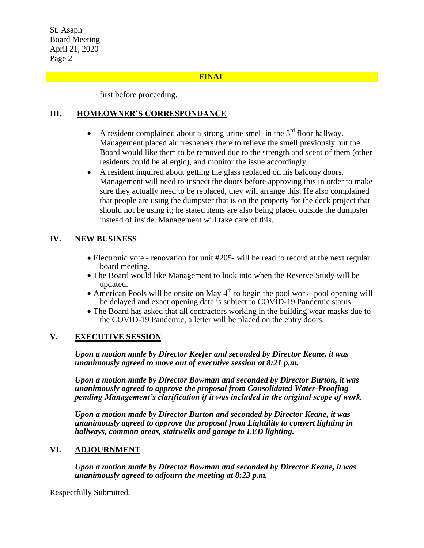St. Asaph Board Meeting April 21, 2020 Page 2

### **FINAL**

first before proceeding.

# **III. HOMEOWNER'S CORRESPONDANCE**

- A resident complained about a strong urine smell in the  $3<sup>rd</sup>$  floor hallway. Management placed air fresheners there to relieve the smell previously but the Board would like them to be removed due to the strength and scent of them (other residents could be allergic), and monitor the issue accordingly.
- A resident inquired about getting the glass replaced on his balcony doors. Management will need to inspect the doors before approving this in order to make sure they actually need to be replaced, they will arrange this. He also complained that people are using the dumpster that is on the property for the deck project that should not be using it; he stated items are also being placed outside the dumpster instead of inside. Management will take care of this.

# **IV. NEW BUSINESS**

- Electronic vote renovation for unit #205- will be read to record at the next regular board meeting.
- The Board would like Management to look into when the Reserve Study will be updated.
- American Pools will be onsite on May  $4<sup>th</sup>$  to begin the pool work- pool opening will be delayed and exact opening date is subject to COVID-19 Pandemic status.
- The Board has asked that all contractors working in the building wear masks due to the COVID-19 Pandemic, a letter will be placed on the entry doors.

# **V. EXECUTIVE SESSION**

*Upon a motion made by Director Keefer and seconded by Director Keane, it was unanimously agreed to move out of executive session at 8:21 p.m.*

*Upon a motion made by Director Bowman and seconded by Director Burton, it was unanimously agreed to approve the proposal from Consolidated Water-Proofing pending Management's clarification if it was included in the original scope of work.*

*Upon a motion made by Director Burton and seconded by Director Keane, it was unanimously agreed to approve the proposal from Lightility to convert lighting in hallways, common areas, stairwells and garage to LED lighting.* 

# **VI. ADJOURNMENT**

*Upon a motion made by Director Bowman and seconded by Director Keane, it was unanimously agreed to adjourn the meeting at 8:23 p.m.*

Respectfully Submitted,